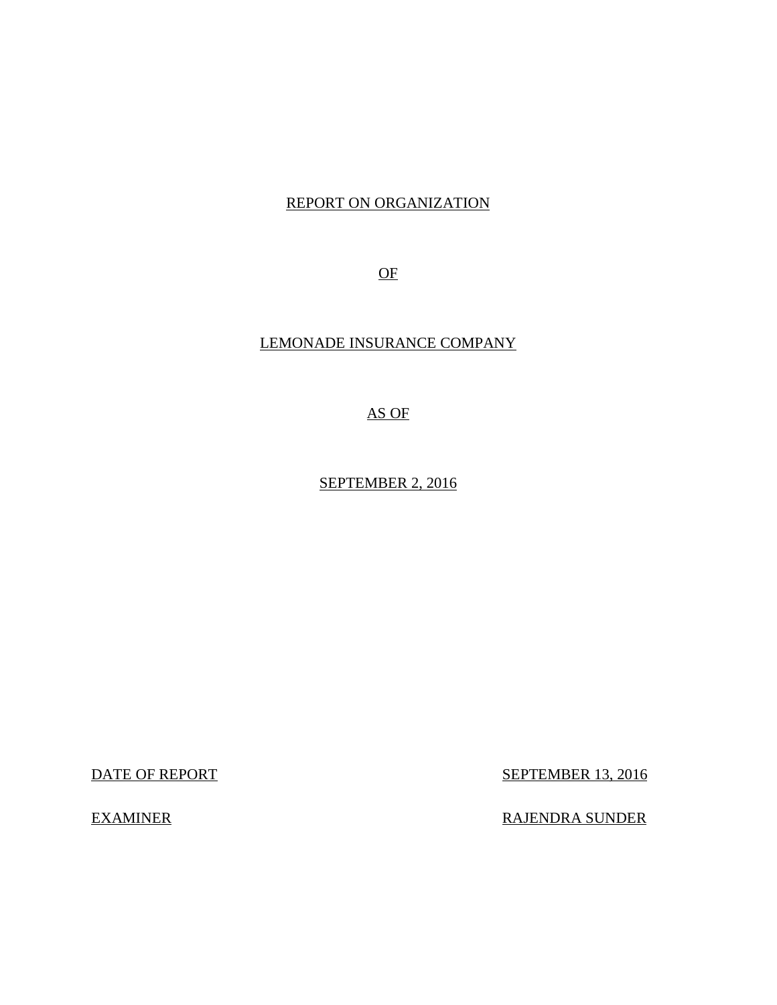# REPORT ON ORGANIZATION

OF

# LEMONADE INSURANCE COMPANY

AS OF

SEPTEMBER 2, 2016

**DATE OF REPORT** 

**EXAMINER** 

**SEPTEMBER 13, 2016** 

RAJENDRA SUNDER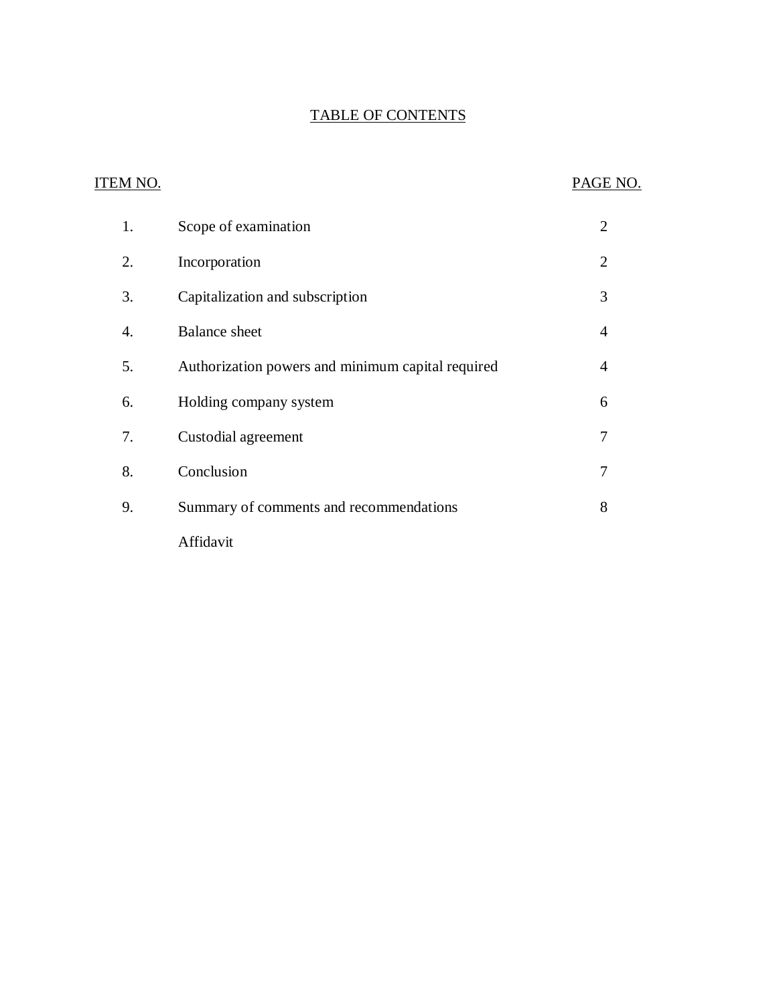# TABLE OF CONTENTS

# ITEM NO. PAGE NO. 1. Scope of examination 2  $\overline{2}$ . 4. Balance sheet 4 5. Authorization powers and minimum capital required 4 [6. Holding company system 6](#page-7-0) [7. Custodial agreement 7](#page-8-0) 9. Summary of comments and recommendations 8 Incorporation 2 3. Capitalization and subscription 3 [8. Conclusion 7](#page-8-0) Affidavit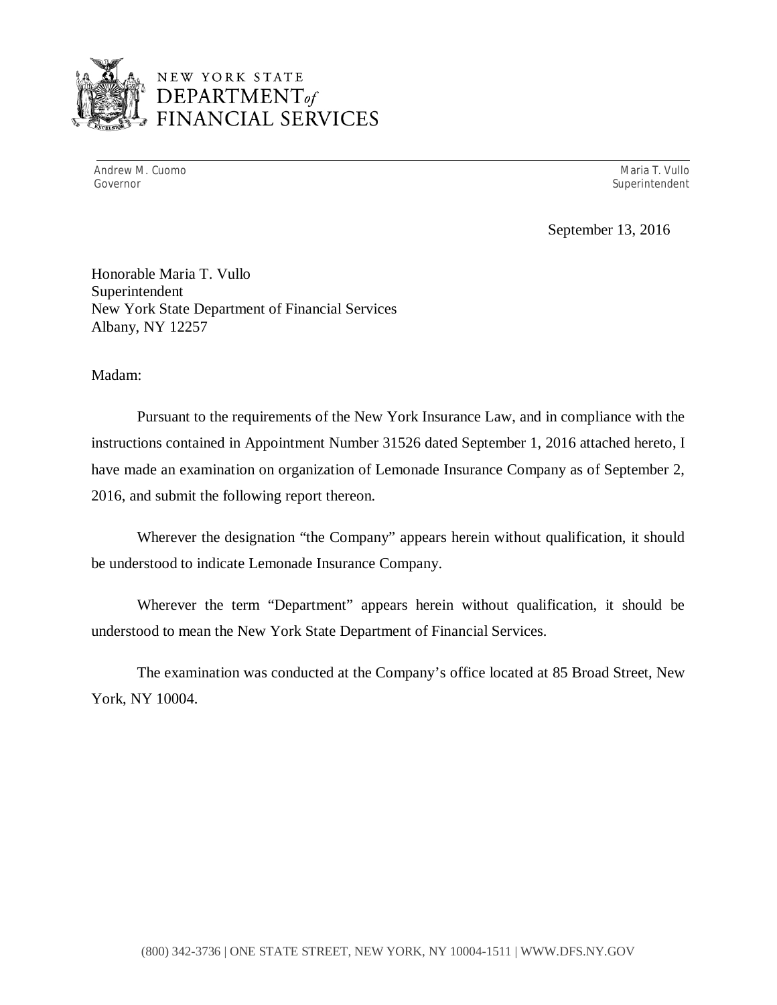

Andrew M. Cuomo National Andrew Maria T. Vullo National Andrew Maria T. Vullo National Andrew Maria T. Vullo N Governor Superintendent Superintendent Superintendent Superintendent Superintendent Superintendent Superintendent

September 13, 2016

 Honorable Maria T. Vullo New York State Department of Financial Services Superintendent Albany, NY 12257

Madam:

 Pursuant to the requirements of the New York Insurance Law, and in compliance with the instructions contained in Appointment Number 31526 dated September 1, 2016 attached hereto, I have made an examination on organization of Lemonade Insurance Company as of September 2, 2016, and submit the following report thereon.

 Wherever the designation "the Company" appears herein without qualification, it should be understood to indicate Lemonade Insurance Company.

 Wherever the term "Department" appears herein without qualification, it should be understood to mean the New York State Department of Financial Services.

 York, NY 10004. The examination was conducted at the Company's office located at 85 Broad Street, New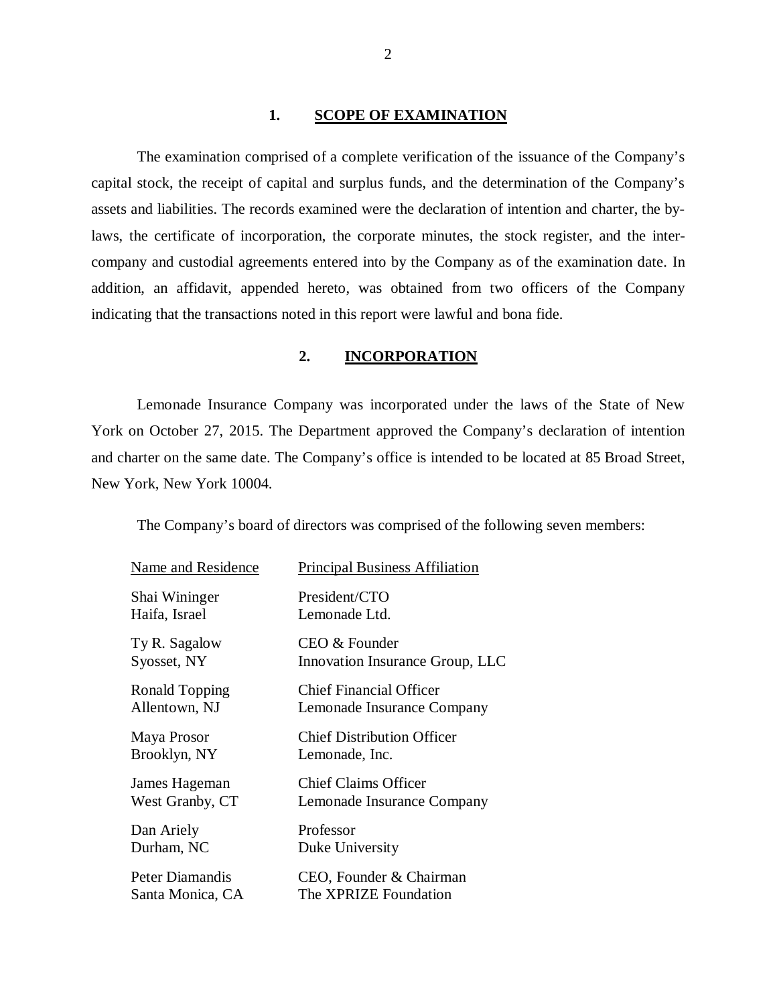#### **1. SCOPE OF EXAMINATION**

 The examination comprised of a complete verification of the issuance of the Company's capital stock, the receipt of capital and surplus funds, and the determination of the Company's assets and liabilities. The records examined were the declaration of intention and charter, the by- laws, the certificate of incorporation, the corporate minutes, the stock register, and the inter- company and custodial agreements entered into by the Company as of the examination date. In addition, an affidavit, appended hereto, was obtained from two officers of the Company indicating that the transactions noted in this report were lawful and bona fide.

#### **2. INCORPORATION**

 Lemonade Insurance Company was incorporated under the laws of the State of New York on October 27, 2015. The Department approved the Company's declaration of intention and charter on the same date. The Company's office is intended to be located at 85 Broad Street, New York, New York 10004.

The Company's board of directors was comprised of the following seven members:

| Name and Residence | <b>Principal Business Affiliation</b> |
|--------------------|---------------------------------------|
| Shai Wininger      | President/CTO                         |
| Haifa, Israel      | Lemonade Ltd.                         |
| Ty R. Sagalow      | CEO & Founder                         |
| Syosset, NY        | Innovation Insurance Group, LLC       |
| Ronald Topping     | <b>Chief Financial Officer</b>        |
| Allentown, NJ      | Lemonade Insurance Company            |
| Maya Prosor        | <b>Chief Distribution Officer</b>     |
| Brooklyn, NY       | Lemonade, Inc.                        |
| James Hageman      | <b>Chief Claims Officer</b>           |
| West Granby, CT    | Lemonade Insurance Company            |
| Dan Ariely         | Professor                             |
| Durham, NC         | Duke University                       |
| Peter Diamandis    | CEO, Founder & Chairman               |
| Santa Monica, CA   | The XPRIZE Foundation                 |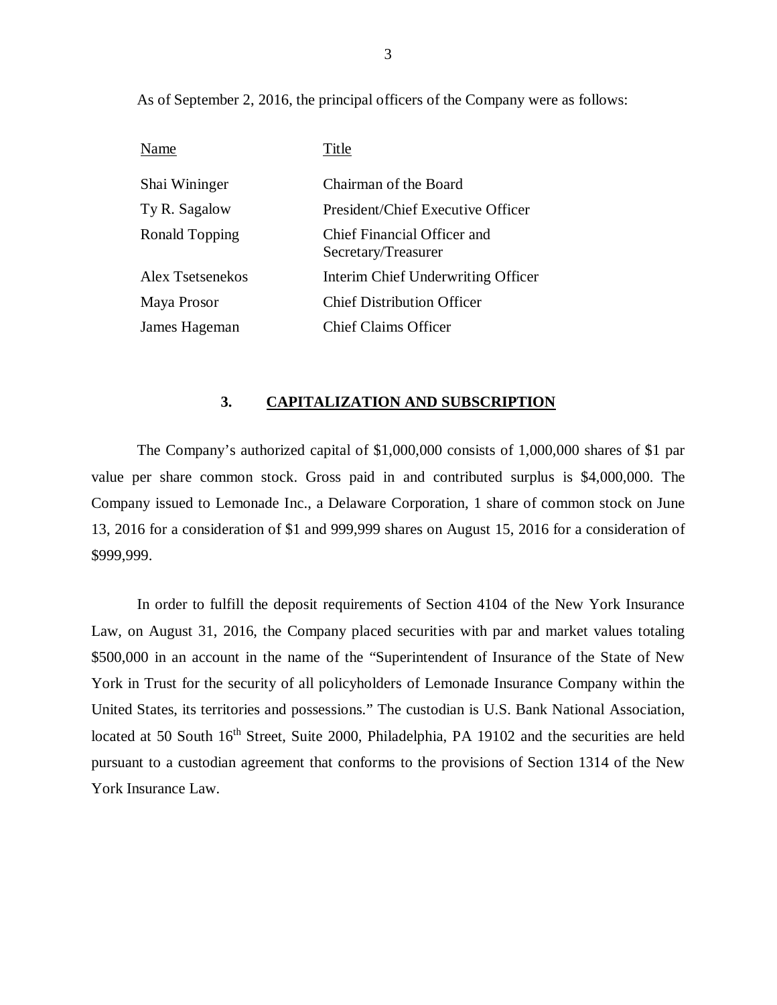As of September 2, 2016, the principal officers of the Company were as follows:

| Name             | Title                                              |
|------------------|----------------------------------------------------|
| Shai Wininger    | Chairman of the Board                              |
| Ty R. Sagalow    | President/Chief Executive Officer                  |
| Ronald Topping   | Chief Financial Officer and<br>Secretary/Treasurer |
| Alex Tsetsenekos | Interim Chief Underwriting Officer                 |
| Maya Prosor      | <b>Chief Distribution Officer</b>                  |
| James Hageman    | <b>Chief Claims Officer</b>                        |

#### **3. CAPITALIZATION AND SUBSCRIPTION**

 The Company's authorized capital of \$1,000,000 consists of 1,000,000 shares of \$1 par value per share common stock. Gross paid in and contributed surplus is \$4,000,000. The Company issued to Lemonade Inc., a Delaware Corporation, 1 share of common stock on June 13, 2016 for a consideration of \$1 and 999,999 shares on August 15, 2016 for a consideration of \$999,999.

 In order to fulfill the deposit requirements of Section 4104 of the New York Insurance Law, on August 31, 2016, the Company placed securities with par and market values totaling \$500,000 in an account in the name of the "Superintendent of Insurance of the State of New York in Trust for the security of all policyholders of Lemonade Insurance Company within the United States, its territories and possessions." The custodian is U.S. Bank National Association, located at 50 South 16<sup>th</sup> Street, Suite 2000, Philadelphia, PA 19102 and the securities are held pursuant to a custodian agreement that conforms to the provisions of Section 1314 of the New York Insurance Law.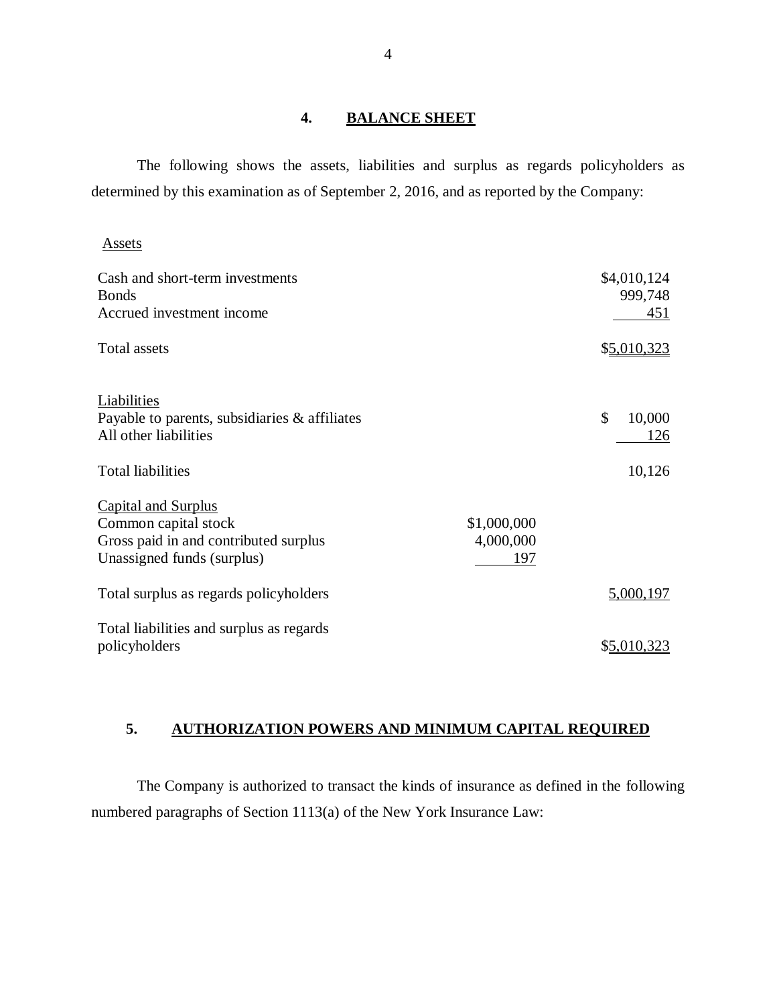#### **4. BALANCE SHEET**

 The following shows the assets, liabilities and surplus as regards policyholders as determined by this examination as of September 2, 2016, and as reported by the Company:

**Assets** 

| Cash and short-term investments<br><b>Bonds</b><br>Accrued investment income                                              |                                 | \$4,010,124<br>999,748<br>451  |
|---------------------------------------------------------------------------------------------------------------------------|---------------------------------|--------------------------------|
| <b>Total assets</b>                                                                                                       |                                 | \$5,010,323                    |
| Liabilities<br>Payable to parents, subsidiaries & affiliates<br>All other liabilities                                     |                                 | $\mathcal{S}$<br>10,000<br>126 |
| <b>Total liabilities</b>                                                                                                  |                                 | 10,126                         |
| <b>Capital and Surplus</b><br>Common capital stock<br>Gross paid in and contributed surplus<br>Unassigned funds (surplus) | \$1,000,000<br>4,000,000<br>197 |                                |
| Total surplus as regards policyholders                                                                                    |                                 | 5,000,197                      |
| Total liabilities and surplus as regards<br>policyholders                                                                 |                                 | \$5,010,323                    |

## **5. AUTHORIZATION POWERS AND MINIMUM CAPITAL REQUIRED**

 The Company is authorized to transact the kinds of insurance as defined in the following numbered paragraphs of Section 1113(a) of the New York Insurance Law: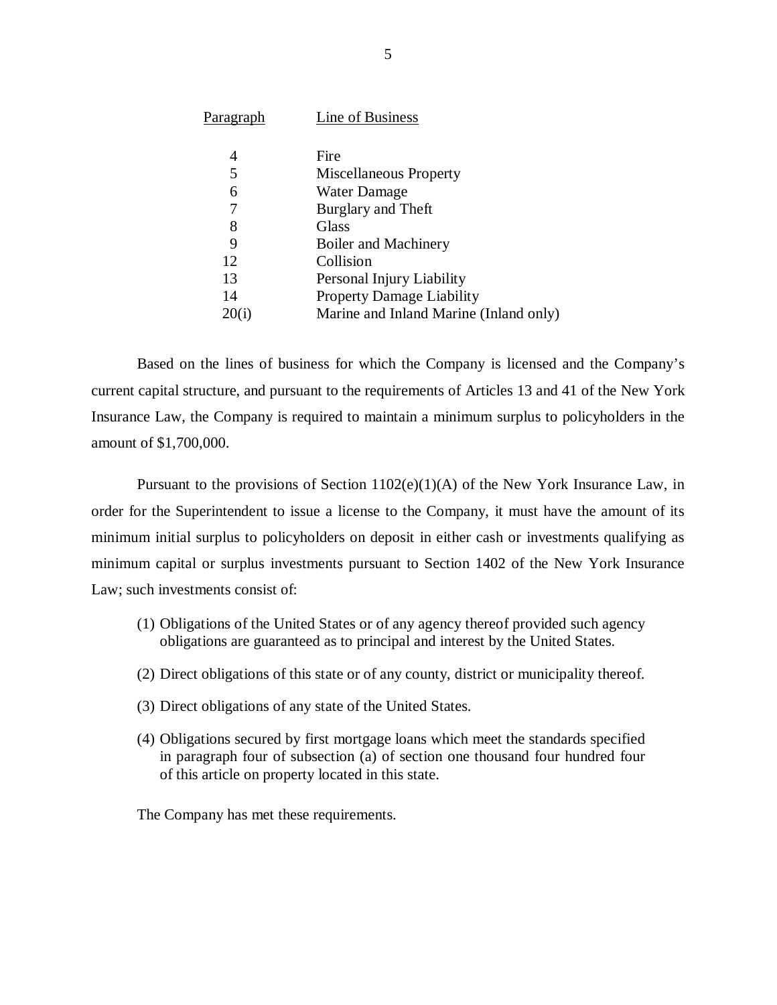| <u>Paragraph</u> | Line of Business                       |
|------------------|----------------------------------------|
|                  |                                        |
| 4                | Fire                                   |
| 5                | Miscellaneous Property                 |
| 6                | <b>Water Damage</b>                    |
| 7                | Burglary and Theft                     |
| 8                | Glass                                  |
| 9                | Boiler and Machinery                   |
| 12               | Collision                              |
| 13               | Personal Injury Liability              |
| 14               | <b>Property Damage Liability</b>       |
|                  | Marine and Inland Marine (Inland only) |
|                  |                                        |

20(i) Marine and Inland Marine (Inland only)<br>Based on the lines of business for which the Company is licensed and the Company's current capital structure, and pursuant to the requirements of Articles 13 and 41 of the New York Insurance Law, the Company is required to maintain a minimum surplus to policyholders in the amount of \$1,700,000.

 Pursuant to the provisions of Section 1102(e)(1)(A) of the New York Insurance Law, in order for the Superintendent to issue a license to the Company, it must have the amount of its minimum initial surplus to policyholders on deposit in either cash or investments qualifying as minimum capital or surplus investments pursuant to Section 1402 of the New York Insurance Law; such investments consist of:

- (1) Obligations of the United States or of any agency thereof provided such agency obligations are guaranteed as to principal and interest by the United States.
- (2) Direct obligations of this state or of any county, district or municipality thereof.
- (3) Direct obligations of any state of the United States.
- (4) Obligations secured by first mortgage loans which meet the standards specified in paragraph four of subsection (a) of section one thousand four hundred four of this article on property located in this state.

The Company has met these requirements.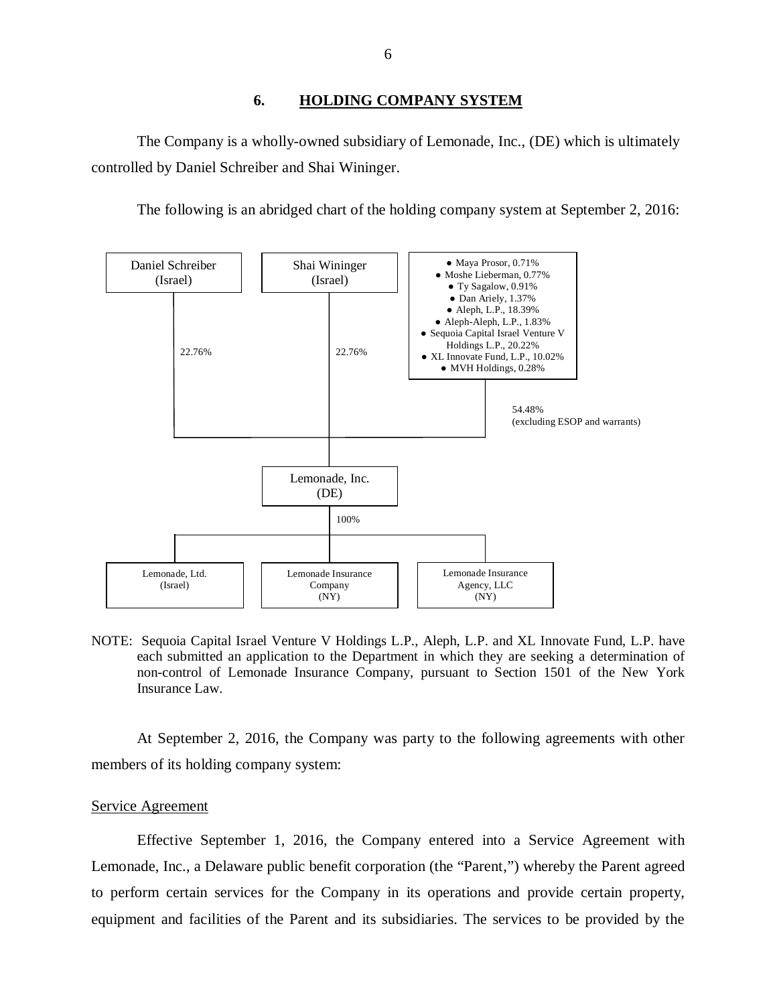#### **6. HOLDING COMPANY SYSTEM**

<span id="page-7-0"></span> The Company is a wholly-owned subsidiary of Lemonade, Inc., (DE) which is ultimately controlled by Daniel Schreiber and Shai Wininger.

The following is an abridged chart of the holding company system at September 2, 2016:



 NOTE: Sequoia Capital Israel Venture V Holdings L.P., Aleph, L.P. and XL Innovate Fund, L.P. have each submitted an application to the Department in which they are seeking a determination of non-control of Lemonade Insurance Company, pursuant to Section 1501 of the New York Insurance Law.

 members of its holding company system: At September 2, 2016, the Company was party to the following agreements with other

#### Service Agreement

 Effective September 1, 2016, the Company entered into a Service Agreement with Lemonade, Inc., a Delaware public benefit corporation (the "Parent,") whereby the Parent agreed to perform certain services for the Company in its operations and provide certain property, equipment and facilities of the Parent and its subsidiaries. The services to be provided by the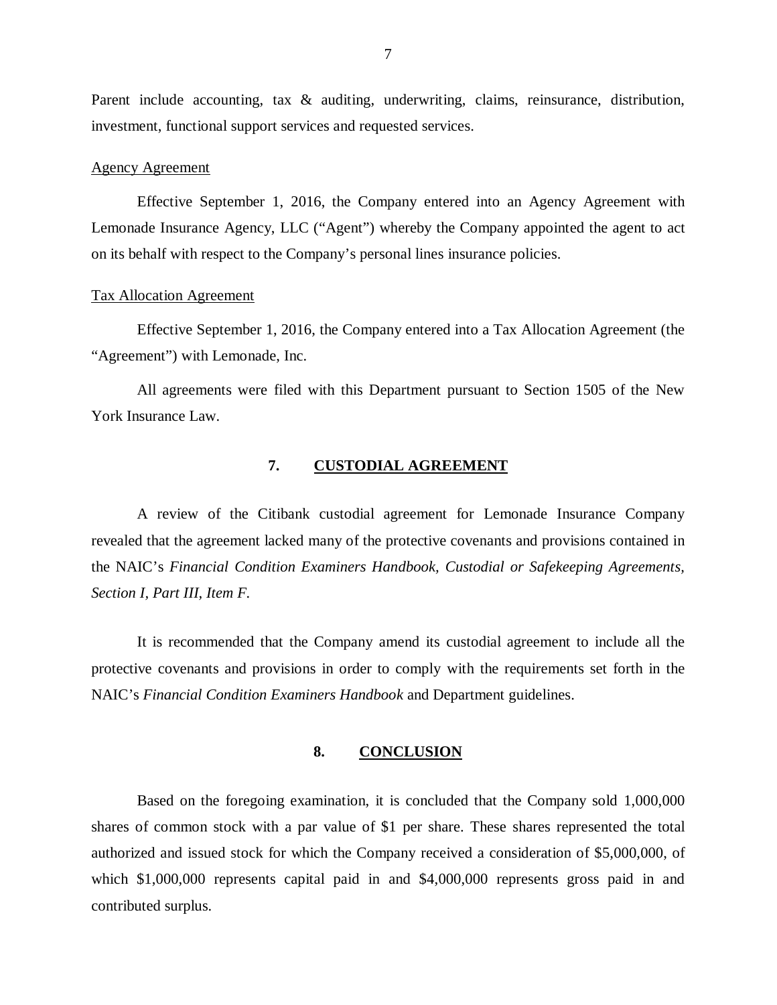<span id="page-8-0"></span>Parent include accounting, tax & auditing, underwriting, claims, reinsurance, distribution, investment, functional support services and requested services.

#### Agency Agreement

 Effective September 1, 2016, the Company entered into an Agency Agreement with Lemonade Insurance Agency, LLC ("Agent") whereby the Company appointed the agent to act on its behalf with respect to the Company's personal lines insurance policies.

#### Tax Allocation Agreement

 Effective September 1, 2016, the Company entered into a Tax Allocation Agreement (the "Agreement") with Lemonade, Inc.

 All agreements were filed with this Department pursuant to Section 1505 of the New York Insurance Law.

#### **7. CUSTODIAL AGREEMENT**

 A review of the Citibank custodial agreement for Lemonade Insurance Company revealed that the agreement lacked many of the protective covenants and provisions contained in the NAIC's *Financial Condition Examiners Handbook, Custodial or Safekeeping Agreements, Section I, Part III, Item F.* 

 It is recommended that the Company amend its custodial agreement to include all the protective covenants and provisions in order to comply with the requirements set forth in the NAIC's *Financial Condition Examiners Handbook* and Department guidelines.

#### **8. CONCLUSION**

 Based on the foregoing examination, it is concluded that the Company sold 1,000,000 shares of common stock with a par value of \$1 per share. These shares represented the total authorized and issued stock for which the Company received a consideration of \$5,000,000, of which \$1,000,000 represents capital paid in and \$4,000,000 represents gross paid in and contributed surplus.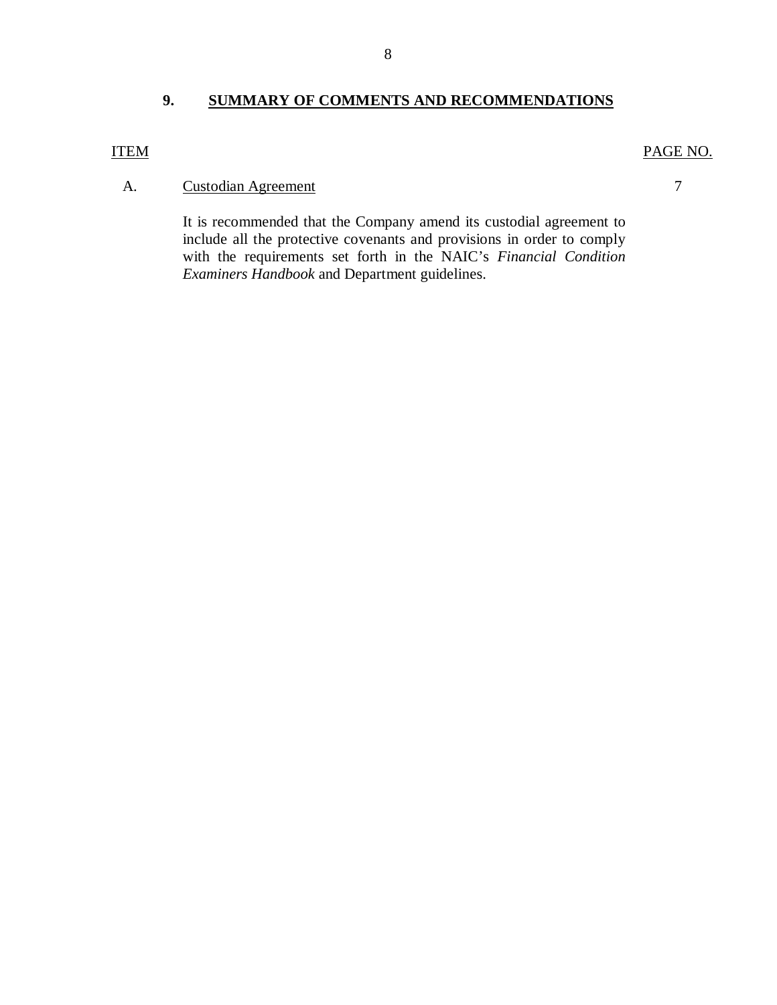# **9. SUMMARY OF COMMENTS AND RECOMMENDATIONS**

#### **ITEM**

#### PAGE NO.

7

#### A. Custodian Agreement

 include all the protective covenants and provisions in order to comply with the requirements set forth in the NAIC's *Financial Condition Examiners Handbook* and Department guidelines. It is recommended that the Company amend its custodial agreement to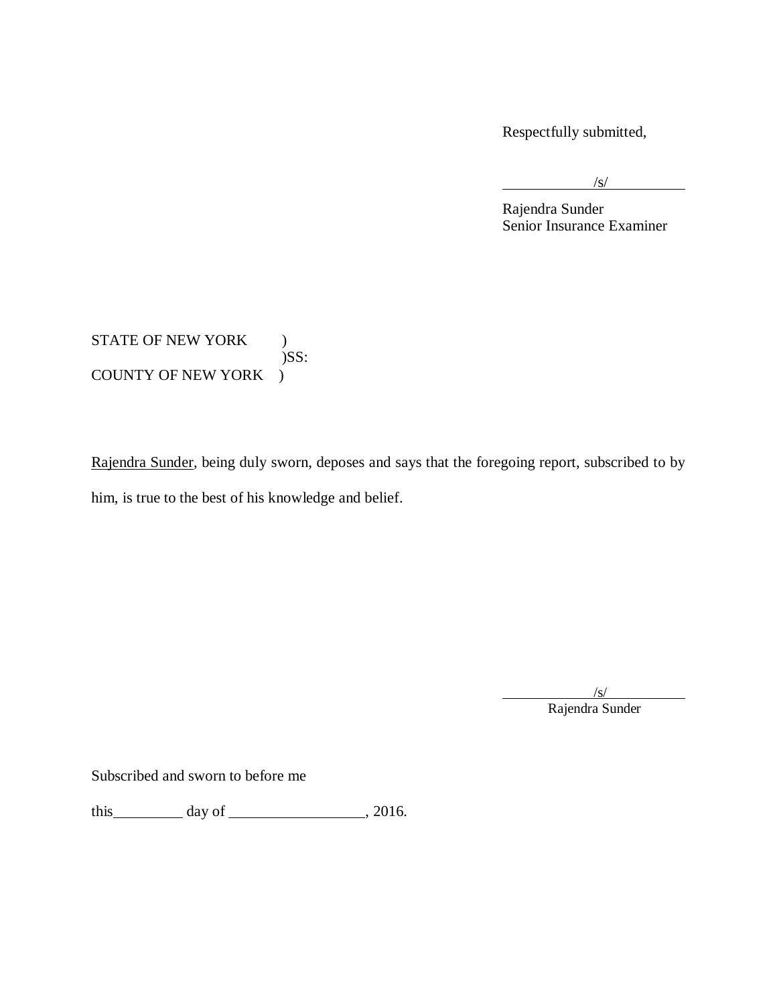Respectfully submitted,

l

 $\sqrt{s/}$ 

 Rajendra Sunder Senior Insurance Examiner

STATE OF NEW YORK ) COUNTY OF NEW YORK )  $)$ SS:

Rajendra Sunder, being duly sworn, deposes and says that the foregoing report, subscribed to by him, is true to the best of his knowledge and belief.

> /s/ Rajendra Sunder

 $\overline{a}$ 

Subscribed and sworn to before me

this  $\_\_\_\_\_\$  day of  $\_\_\_\_\_\_\_\$ , 2016.